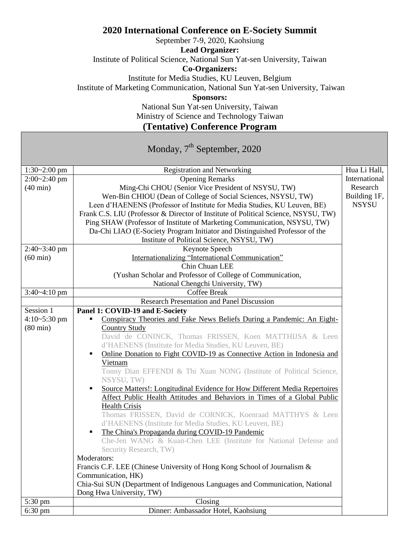## **2020 International Conference on E-Society Summit**

September 7-9, 2020, Kaohsiung

**Lead Organizer:**

Institute of Political Science, National Sun Yat-sen University, Taiwan

**Co-Organizers:**

Institute for Media Studies, KU Leuven, Belgium

Institute of Marketing Communication, National Sun Yat-sen University, Taiwan

**Sponsors:**

National Sun Yat-sen University, Taiwan Ministry of Science and Technology Taiwan

**(Tentative) Conference Program**

Monday, 7<sup>th</sup> September, 2020

| $1:30 - 2:00$ pm   | <b>Registration and Networking</b>                                                        | Hua Li Hall,  |
|--------------------|-------------------------------------------------------------------------------------------|---------------|
| $2:00 - 2:40$ pm   | <b>Opening Remarks</b>                                                                    | International |
| $(40 \text{ min})$ | Ming-Chi CHOU (Senior Vice President of NSYSU, TW)                                        | Research      |
|                    | Wen-Bin CHIOU (Dean of College of Social Sciences, NSYSU, TW)                             | Building 1F,  |
|                    | Leen d'HAENENS (Professor of Institute for Media Studies, KU Leuven, BE)                  | <b>NSYSU</b>  |
|                    | Frank C.S. LIU (Professor & Director of Institute of Political Science, NSYSU, TW)        |               |
|                    | Ping SHAW (Professor of Institute of Marketing Communication, NSYSU, TW)                  |               |
|                    | Da-Chi LIAO (E-Society Program Initiator and Distinguished Professor of the               |               |
|                    | Institute of Political Science, NSYSU, TW)                                                |               |
| 2:40~3:40 pm       | Keynote Speech                                                                            |               |
| $(60 \text{ min})$ | Internationalizing "International Communication"                                          |               |
|                    | Chin Chuan LEE                                                                            |               |
|                    | (Yushan Scholar and Professor of College of Communication,                                |               |
|                    | National Chengchi University, TW)                                                         |               |
| $3:40 - 4:10$ pm   | <b>Coffee Break</b>                                                                       |               |
|                    | <b>Research Presentation and Panel Discussion</b>                                         |               |
| Session 1          | Panel 1: COVID-19 and E-Society                                                           |               |
| 4:10~5:30 pm       | Conspiracy Theories and Fake News Beliefs During a Pandemic: An Eight-<br>$\blacksquare$  |               |
| $(80 \text{ min})$ | <b>Country Study</b>                                                                      |               |
|                    | David de CONINCK, Thomas FRISSEN, Koen MATTHIJSA & Leen                                   |               |
|                    | d'HAENENS (Institute for Media Studies, KU Leuven, BE)                                    |               |
|                    | Online Donation to Fight COVID-19 as Connective Action in Indonesia and<br>$\blacksquare$ |               |
|                    | Vietnam                                                                                   |               |
|                    | Tonny Dian EFFENDI & Thi Xuan NONG (Institute of Political Science,                       |               |
|                    | NSYSU, TW)                                                                                |               |
|                    | Source Matters!: Longitudinal Evidence for How Different Media Repertoires<br>٠           |               |
|                    | Affect Public Health Attitudes and Behaviors in Times of a Global Public                  |               |
|                    | <b>Health Crisis</b>                                                                      |               |
|                    | Thomas FRISSEN, David de CORNICK, Koenraad MATTHYS & Leen                                 |               |
|                    | d'HAENENS (Institute for Media Studies, KU Leuven, BE)                                    |               |
|                    | The China's Propaganda during COVID-19 Pandemic<br>Ξ                                      |               |
|                    | Che-Jen WANG & Kuan-Chen LEE (Institute for National Defense and                          |               |
|                    | Security Research, TW)                                                                    |               |
|                    | Moderators:                                                                               |               |
|                    | Francis C.F. LEE (Chinese University of Hong Kong School of Journalism &                  |               |
|                    | Communication, HK)                                                                        |               |
|                    | Chia-Sui SUN (Department of Indigenous Languages and Communication, National              |               |
|                    | Dong Hwa University, TW)                                                                  |               |
| 5:30 pm            | Closing                                                                                   |               |
| $6:30 \text{ pm}$  | Dinner: Ambassador Hotel, Kaohsiung                                                       |               |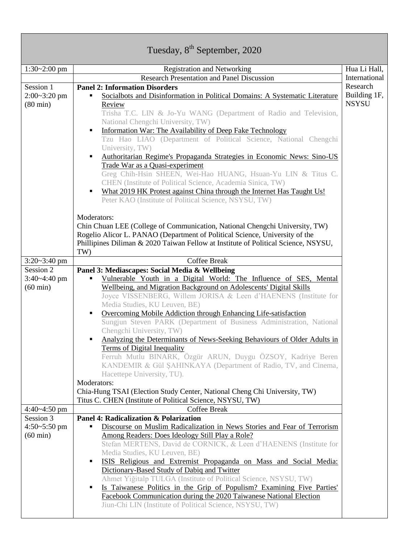| Tuesday, 8 <sup>th</sup> September, 2020 |                                                                                                                                                            |               |  |  |
|------------------------------------------|------------------------------------------------------------------------------------------------------------------------------------------------------------|---------------|--|--|
|                                          |                                                                                                                                                            |               |  |  |
| $1:30-2:00$ pm                           | <b>Registration and Networking</b>                                                                                                                         | Hua Li Hall,  |  |  |
|                                          | <b>Research Presentation and Panel Discussion</b>                                                                                                          | International |  |  |
| Session 1                                | <b>Panel 2: Information Disorders</b>                                                                                                                      | Research      |  |  |
| $2:00-3:20$ pm                           | Socialbots and Disinformation in Political Domains: A Systematic Literature                                                                                | Building 1F,  |  |  |
| $(80 \text{ min})$                       | Review                                                                                                                                                     | <b>NSYSU</b>  |  |  |
|                                          | Trisha T.C. LIN & Jo-Yu WANG (Department of Radio and Television,<br>National Chengchi University, TW)                                                     |               |  |  |
|                                          | Information War: The Availability of Deep Fake Technology<br>П                                                                                             |               |  |  |
|                                          | Tzu Hao LIAO (Department of Political Science, National Chengchi                                                                                           |               |  |  |
|                                          | University, TW)                                                                                                                                            |               |  |  |
|                                          | Authoritarian Regime's Propaganda Strategies in Economic News: Sino-US<br>٠                                                                                |               |  |  |
|                                          | Trade War as a Quasi-experiment                                                                                                                            |               |  |  |
|                                          | Greg Chih-Hsin SHEEN, Wei-Hao HUANG, Hsuan-Yu LIN & Titus C.                                                                                               |               |  |  |
|                                          | CHEN (Institute of Political Science, Academia Sinica, TW)                                                                                                 |               |  |  |
|                                          | What 2019 HK Protest against China through the Internet Has Taught Us!<br>٠                                                                                |               |  |  |
|                                          | Peter KAO (Institute of Political Science, NSYSU, TW)                                                                                                      |               |  |  |
|                                          |                                                                                                                                                            |               |  |  |
|                                          | Moderators:                                                                                                                                                |               |  |  |
|                                          | Chin Chuan LEE (College of Communication, National Chengchi University, TW)<br>Rogelio Alicor L. PANAO (Department of Political Science, University of the |               |  |  |
|                                          | Phillipines Diliman & 2020 Taiwan Fellow at Institute of Political Science, NSYSU,                                                                         |               |  |  |
|                                          | TW)                                                                                                                                                        |               |  |  |
| $3:20 - 3:40$ pm                         | <b>Coffee Break</b>                                                                                                                                        |               |  |  |
| Session 2                                | Panel 3: Mediascapes: Social Media & Wellbeing                                                                                                             |               |  |  |
| $3:40 - 4:40$ pm                         | Vulnerable Youth in a Digital World: The Influence of SES, Mental<br>٠                                                                                     |               |  |  |
| $(60 \text{ min})$                       | Wellbeing, and Migration Background on Adolescents' Digital Skills                                                                                         |               |  |  |
|                                          | Joyce VISSENBERG, Willem JORISA & Leen d'HAENENS (Institute for                                                                                            |               |  |  |
|                                          | Media Studies, KU Leuven, BE)                                                                                                                              |               |  |  |
|                                          | Overcoming Mobile Addiction through Enhancing Life-satisfaction<br>٠                                                                                       |               |  |  |
|                                          | Sungjun Steven PARK (Department of Business Administration, National<br>Chengchi University, TW)                                                           |               |  |  |
|                                          | Analyzing the Determinants of News-Seeking Behaviours of Older Adults in                                                                                   |               |  |  |
|                                          | <b>Terms of Digital Inequality</b>                                                                                                                         |               |  |  |
|                                          | Ferruh Mutlu BINARK, Özgür ARUN, Duygu ÖZSOY, Kadriye Beren                                                                                                |               |  |  |
|                                          | KANDEMIR & Gül SAHINKAYA (Department of Radio, TV, and Cinema,                                                                                             |               |  |  |
|                                          | Hacettepe University, TU).                                                                                                                                 |               |  |  |
|                                          | Moderators:                                                                                                                                                |               |  |  |
|                                          | Chia-Hung TSAI (Election Study Center, National Cheng Chi University, TW)                                                                                  |               |  |  |
|                                          | Titus C. CHEN (Institute of Political Science, NSYSU, TW)                                                                                                  |               |  |  |
| $4:40 - 4:50$ pm                         | <b>Coffee Break</b>                                                                                                                                        |               |  |  |
| Session 3                                | Panel 4: Radicalization & Polarization                                                                                                                     |               |  |  |
| $4:50 - 5:50$ pm<br>$(60 \text{ min})$   | Discourse on Muslim Radicalization in News Stories and Fear of Terrorism<br>Among Readers: Does Ideology Still Play a Role?                                |               |  |  |
|                                          | Stefan MERTENS, David de CORNICK, & Leen d'HAENENS (Institute for                                                                                          |               |  |  |
|                                          | Media Studies, KU Leuven, BE)                                                                                                                              |               |  |  |
|                                          | ISIS Religious and Extremist Propaganda on Mass and Social Media:<br>٠                                                                                     |               |  |  |
|                                          | Dictionary-Based Study of Dabiq and Twitter                                                                                                                |               |  |  |
|                                          | Ahmet Yiğitalp TULGA (Institute of Political Science, NSYSU, TW)                                                                                           |               |  |  |
|                                          | Is Taiwanese Politics in the Grip of Populism? Examining Five Parties'<br>п                                                                                |               |  |  |
|                                          | Facebook Communication during the 2020 Taiwanese National Election                                                                                         |               |  |  |
|                                          | Jiun-Chi LIN (Institute of Political Science, NSYSU, TW)                                                                                                   |               |  |  |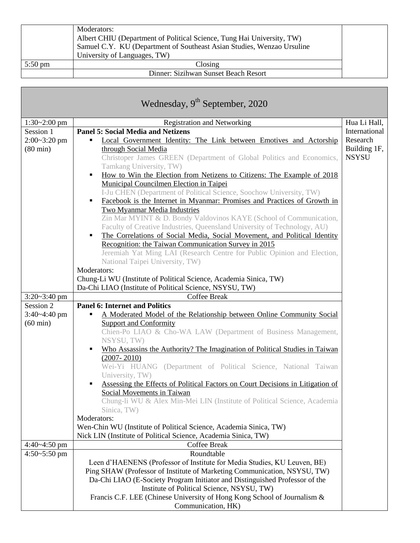|                   | Moderators:                                                            |
|-------------------|------------------------------------------------------------------------|
|                   | Albert CHIU (Department of Political Science, Tung Hai University, TW) |
|                   | Samuel C.Y. KU (Department of Southeast Asian Studies, Wenzao Ursuline |
|                   | University of Languages, TW)                                           |
| $5:50 \text{ pm}$ | Closing                                                                |
|                   | Dinner: Sizihwan Sunset Beach Resort                                   |

| Wednesday, 9 <sup>th</sup> September, 2020 |                                                                                                        |               |  |  |
|--------------------------------------------|--------------------------------------------------------------------------------------------------------|---------------|--|--|
| $1:30-2:00$ pm                             | <b>Registration and Networking</b>                                                                     | Hua Li Hall,  |  |  |
| Session 1                                  | <b>Panel 5: Social Media and Netizens</b>                                                              | International |  |  |
| $2:00 - 3:20$ pm                           | Local Government Identity: The Link between Emotives and Actorship<br>٠                                | Research      |  |  |
| $(80 \text{ min})$                         | through Social Media                                                                                   | Building 1F,  |  |  |
|                                            | Christoper James GREEN (Department of Global Politics and Economics,<br>Tamkang University, TW)        | <b>NSYSU</b>  |  |  |
|                                            | How to Win the Election from Netizens to Citizens: The Example of 2018<br>٠                            |               |  |  |
|                                            | Municipal Councilmen Election in Taipei                                                                |               |  |  |
|                                            | I-Ju CHEN (Department of Political Science, Soochow University, TW)                                    |               |  |  |
|                                            | Facebook is the Internet in Myanmar: Promises and Practices of Growth in<br>٠                          |               |  |  |
|                                            | <b>Two Myanmar Media Industries</b>                                                                    |               |  |  |
|                                            | Zin Mar MYINT & D. Bondy Valdovinos KAYE (School of Communication,                                     |               |  |  |
|                                            | Faculty of Creative Industries, Queensland University of Technology, AU)                               |               |  |  |
|                                            | The Correlations of Social Media, Social Movement, and Political Identity<br>٠                         |               |  |  |
|                                            | Recognition: the Taiwan Communication Survey in 2015                                                   |               |  |  |
|                                            | Jeremiah Yat Ming LAI (Research Centre for Public Opinion and Election,                                |               |  |  |
|                                            | National Taipei University, TW)                                                                        |               |  |  |
|                                            | Moderators:                                                                                            |               |  |  |
|                                            | Chung-Li WU (Institute of Political Science, Academia Sinica, TW)                                      |               |  |  |
|                                            | Da-Chi LIAO (Institute of Political Science, NSYSU, TW)                                                |               |  |  |
| $3:20 - 3:40$ pm<br>Session 2              | Coffee Break<br><b>Panel 6: Internet and Politics</b>                                                  |               |  |  |
| $3:40 - 4:40$ pm                           | A Moderated Model of the Relationship between Online Community Social                                  |               |  |  |
| $(60 \text{ min})$                         | <b>Support and Conformity</b>                                                                          |               |  |  |
|                                            | Chien-Po LIAO & Cho-WA LAW (Department of Business Management,                                         |               |  |  |
|                                            | NSYSU, TW)                                                                                             |               |  |  |
|                                            | Who Assassins the Authority? The Imagination of Political Studies in Taiwan<br>٠                       |               |  |  |
|                                            | $(2007 - 2010)$                                                                                        |               |  |  |
|                                            | Wei-Yi HUANG (Department of Political Science, National Taiwan                                         |               |  |  |
|                                            | University, TW)                                                                                        |               |  |  |
|                                            | Assessing the Effects of Political Factors on Court Decisions in Litigation of<br>٠                    |               |  |  |
|                                            | Social Movements in Taiwan<br>Chung-li WU & Alex Min-Mei LIN (Institute of Political Science, Academia |               |  |  |
|                                            | Sinica, TW)                                                                                            |               |  |  |
|                                            | Moderators:                                                                                            |               |  |  |
|                                            | Wen-Chin WU (Institute of Political Science, Academia Sinica, TW)                                      |               |  |  |
|                                            | Nick LIN (Institute of Political Science, Academia Sinica, TW)                                         |               |  |  |
| $4:40-4:50$ pm                             | Coffee Break                                                                                           |               |  |  |
| $4:50-5:50$ pm                             | Roundtable                                                                                             |               |  |  |
|                                            | Leen d'HAENENS (Professor of Institute for Media Studies, KU Leuven, BE)                               |               |  |  |
|                                            | Ping SHAW (Professor of Institute of Marketing Communication, NSYSU, TW)                               |               |  |  |
|                                            | Da-Chi LIAO (E-Society Program Initiator and Distinguished Professor of the                            |               |  |  |
|                                            | Institute of Political Science, NSYSU, TW)                                                             |               |  |  |
|                                            | Francis C.F. LEE (Chinese University of Hong Kong School of Journalism &                               |               |  |  |
|                                            | Communication, HK)                                                                                     |               |  |  |